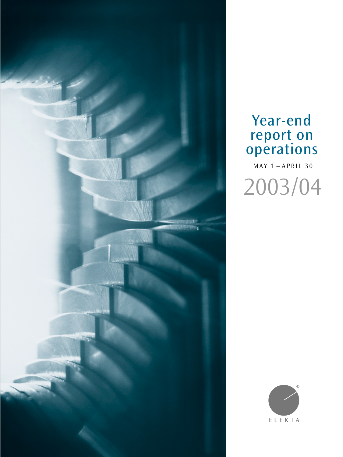

# Year-end report on operations

MAY 1 – APRIL 30 2003/04

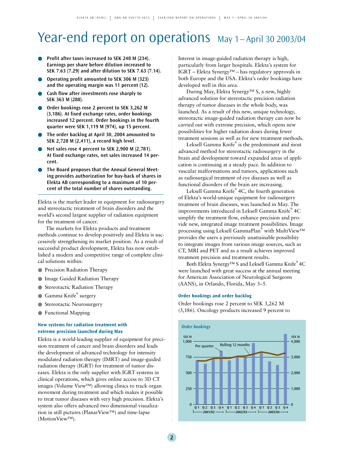# Year-end report on operations May 1-April 30 2003/04

- **Profit after taxes increased to SEK 248 M (234). Earnings per share before dilution increased to SEK 7.63 (7.29) and after dilution to SEK 7.63 (7.14).**
- **Operating profit amounted to SEK 306 M (323) and the operating margin was 11 percent (12).**
- **Cash flow after investments rose sharply to SEK 363 M (288).**
- Order bookings rose 2 percent to SEK 3,262 M **(3,186). At fixed exchange rates, order bookings increased 12 percent. Order bookings in the fourth quarter were SEK 1,119 M (974), up 15 percent.**
- **The order backlog at April 30, 2004 amounted to SEK 2,728 M (2,411), a record high level.**
- **Net sales rose 4 percent to SEK 2,900 M (2,781). At fixed exchange rates, net sales increased 14 percent.**
- **The Board proposes that the Annual General Meeting provides authorization for buy-back of shares in Elekta AB corresponding to a maximum of 10 percent of the total number of shares outstanding.**

Elekta is the market leader in equipment for radiosurgery and stereotactic treatment of brain disorders and the world's second largest supplier of radiation equipment for the treatment of cancer.

The markets for Elekta products and treatment methods continue to develop positively and Elekta is successively strengthening its market position. As a result of successful product development, Elekta has now established a modern and competitive range of complete clinical solutions within:

- Precision Radiation Therapy
- Image Guided Radiation Therapy
- Stereotactic Radiation Therapy
- Gamma Knife® surgery
- Stereotactic Neurosurgery
- Functional Mapping

#### **New systems for radiation treatment with extreme precision launched during May**

Elekta is a world-leading supplier of equipment for precision treatment of cancer and brain disorders and leads the development of advanced technology for intensity modulated radiation therapy (IMRT) and image-guided radiation therapy (IGRT) for treatment of tumor diseases. Elekta is the only supplier with IGRT systems in clinical operations, which gives online access to 3D CT images (Volume View™) allowing clinics to track organ movement during treatment and which makes it possible to treat tumor diseases with very high precision. Elekta's system also offers advanced two dimensional visualization in still pictures (PlanarView™) and time-lapse (MotionView™).

Interest in image-guided radiation therapy is high, particularly from larger hospitals. Elekta's system for IGRT – Elekta Synergy™ – has regulatory approvals in both Europe and the USA. Elekta's order bookings have developed well in this area.

During May, Elekta Synergy™ S, a new, highly advanced solution for stereotactic precision radiation therapy of tumor diseases in the whole body, was launched. As a result of this new, unique technology, stereotactic image-guided radiation therapy can now be carried out with extreme precision, which opens new possibilities for higher radiation doses during fewer treatment sessions as well as for new treatment methods.

Leksell Gamma Knife® is the predominant and most advanced method for stereotactic radiosurgery in the brain and development toward expanded areas of application is continuing at a steady pace. In addition to vascular malformations and tumors, applications such as radiosurgical treatment of eye diseases as well as functional disorders of the brain are increasing.

Leksell Gamma Knife® 4C, the fourth generation of Elekta's world-unique equipment for radiosurgery treatment of brain diseases, was launched in May. The improvements introduced in Leksell Gamma Knife® 4C simplify the treatment flow, enhance precision and provide new, integrated image treatment possibilities. Image processing using Leksell GammaPlan® with MultiView™ provides the users a previously unattainable possibility to integrate images from various image sources, such as CT, MRI and PET and as a result achieves improved treatment precision and treatment results.

Both Elekta Synergy™ S and Leksell Gamma Knife® 4C were launched with great success at the annual meeting for American Association of Neurological Surgeons (AANS), in Orlando, Florida, May 3–5.

#### **Order bookings and order backlog**

Order bookings rose 2 percent to SEK 3,262 M (3,186). Oncology products increased 9 percent to

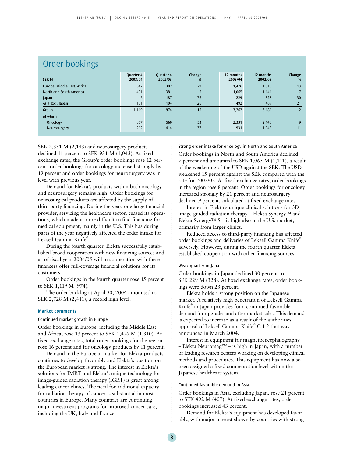| Order bookings              |                      |             |                      |                      |                |  |  |  |
|-----------------------------|----------------------|-------------|----------------------|----------------------|----------------|--|--|--|
| <b>Ouarter 4</b><br>2003/04 | Quarter 4<br>2002/03 | Change<br>% | 12 months<br>2003/04 | 12 months<br>2002/03 | Change<br>%    |  |  |  |
| 542                         | 302                  | 79          | 1,476                | 1,310                | 13             |  |  |  |
| 401                         | 381                  | 5           | 1,065                | 1,141                | $-7$           |  |  |  |
| 45                          | 187                  | $-76$       | 229                  | 328                  | $-30$          |  |  |  |
| 131                         | 104                  | 26          | 492                  | 407                  | 21             |  |  |  |
| 1,119                       | 974                  | 15          | 3,262                | 3,186                | $\overline{2}$ |  |  |  |
|                             |                      |             |                      |                      |                |  |  |  |
| 857                         | 560                  | 53          | 2,331                | 2,143                | 9              |  |  |  |
| 262                         | 414                  | $-37$       | 931                  | 1,043                | $-11$          |  |  |  |
|                             |                      |             |                      |                      |                |  |  |  |

SEK 2,331 M (2,143) and neurosurgery products declined 11 percent to SEK 931 M (1,043). At fixed exchange rates, the Group's order bookings rose 12 percent, order bookings for oncology increased strongly by 19 percent and order bookings for neurosurgery was in

Demand for Elekta's products within both oncology and neurosurgery remains high. Order bookings for neurosurgical products are affected by the supply of third party financing. During the year, one large financial provider, servicing the healthcare sector, ceased its operations, which made it more difficult to find financing for medical equipment, mainly in the U.S. This has during parts of the year negatively affected the order intake for Leksell Gamma Knife® .

During the fourth quarter, Elekta successfully established broad cooperation with new financing sources and as of fiscal year 2004/05 will in cooperation with these financers offer full-coverage financial solutions for its customers.

Order bookings in the fourth quarter rose 15 percent to SEK 1,119 M (974).

The order backlog at April 30, 2004 amounted to SEK 2,728 M (2,411), a record high level.

#### **Market comments**

level with previous year.

Continued market growth in Europe

Order bookings in Europe, including the Middle East and Africa, rose 13 percent to SEK 1,476 M (1,310). At fixed exchange rates, total order bookings for the region rose 16 percent and for oncology products by 11 percent.

Demand in the European market for Elekta products continues to develop favorably and Elekta's position on the European market is strong. The interest in Elekta's solutions for IMRT and Elekta's unique technology for image-guided radiation therapy (IGRT) is great among leading cancer clinics. The need for additional capacity for radiation therapy of cancer is substantial in most countries in Europe. Many countries are continuing major investment programs for improved cancer care, including the UK, Italy and France.

Strong order intake for oncology in North and South America

Order bookings in North and South America declined 7 percent and amounted to SEK 1,065 M (1,141), a result of the weakening of the USD against the SEK. The USD weakened 15 percent against the SEK compared with the rate for 2002/03. At fixed exchange rates, order bookings in the region rose 8 percent. Order bookings for oncology increased strongly by 21 percent and neurosurgery declined 9 percent, calculated at fixed exchange rates.

Interest in Elekta's unique clinical solutions for 3D image-guided radiation therapy – Elekta Synergy™ and Elekta Synergy<sup>™</sup> S – is high also in the U.S. market, primarily from larger clinics.

Reduced access to third-party financing has affected order bookings and deliveries of Leksell Gamma Knife® adversely. However, during the fourth quarter Elekta established cooperation with other financing sources.

#### Weak quarter in Japan

Order bookings in Japan declined 30 percent to SEK 229 M (328). At fixed exchange rates, order bookings were down 23 percent.

Elekta holds a strong position on the Japanese market. A relatively high penetration of Leksell Gamma Knife® in Japan provides for a continued favorable demand for upgrades and after-market sales. This demand is expected to increase as a result of the authorities' approval of Leksell Gamma Knife® C 1.2 that was announced in March 2004.

Interest in equipment for magnetoencephalography – Elekta Neuromag™ – is high in Japan, with a number of leading research centers working on developing clinical methods and procedures. This equipment has now also been assigned a fixed compensation level within the Japanese healthcare system.

#### Continued favorable demand in Asia

Order bookings in Asia, excluding Japan, rose 21 percent to SEK 492 M (407). At fixed exchange rates, order bookings increased 43 percent.

Demand for Elekta's equipment has developed favorably, with major interest shown by countries with strong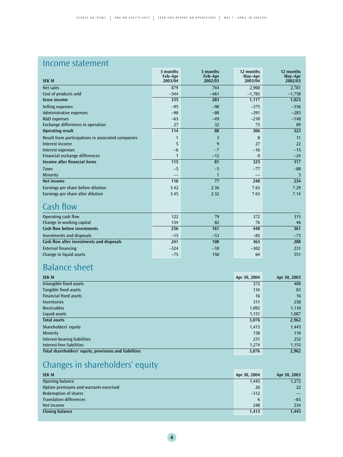## Income statement

| <b>SEK M</b>                                       | 3 months<br>Feb-Apr<br>2003/04 | 3 months<br>Feb-Apr<br>2002/03 | 12 months<br>May-Apr<br>2003/04 | 12 months<br>May-Apr<br>2002/03 |
|----------------------------------------------------|--------------------------------|--------------------------------|---------------------------------|---------------------------------|
| Net sales                                          | 879                            | 744                            | 2,900                           | 2,781                           |
| Cost of products sold                              | $-544$                         | $-461$                         | $-1,783$                        | $-1,758$                        |
| <b>Gross income</b>                                | 335                            | 283                            | 1,117                           | 1,023                           |
| Selling expenses                                   | $-95$                          | $-98$                          | $-375$                          | $-356$                          |
| Administrative expenses                            | $-90$                          | $-80$                          | $-291$                          | $-285$                          |
| R&D expenses                                       | $-63$                          | $-49$                          | $-218$                          | $-148$                          |
| Exchange differences in operation                  | 27                             | 32                             | 73                              | 89                              |
| <b>Operating result</b>                            | 114                            | 88                             | 306                             | 323                             |
| Result from participations in associated companies | 1                              | 3                              | 8                               | 11                              |
| Interest income                                    | 5                              | 9                              | 27                              | 22                              |
| Interest expenses                                  | $-6$                           | $-7$                           | $-16$                           | $-15$                           |
| Financial exchange differences                     | $\mathbf{1}$                   | $-12$                          | $\mathbf{0}$                    | $-24$                           |
| Income after financial items                       | 115                            | 81                             | 325                             | 317                             |
| <b>Taxes</b>                                       | $-5$                           | $-5$                           | $-77$                           | $-88$                           |
| Minority                                           |                                | $\mathbf{1}$                   |                                 | 5                               |
| Net income                                         | 110                            | 77                             | 248                             | 234                             |
| Earnings per share before dilution                 | 3.42                           | 2.36                           | 7.63                            | 7.29                            |
| Earnings per share after dilution                  | 3.45                           | 2.32                           | 7.63                            | 7.14                            |
| Cash flow                                          |                                |                                |                                 |                                 |
| Operating cash flow                                | 122                            | 79                             | 372                             | 315                             |
| Change in working capital                          | 134                            | 82                             | 76                              | 46                              |
| <b>Cash flow before investments</b>                | 256                            | 161                            | 448                             | 361                             |
| Investments and disposals                          | $-15$                          | $-53$                          | $-85$                           | $-73$                           |
| Cash flow after investments and disposals          | 241                            | 108                            | 363                             | 288                             |
| <b>External financing</b>                          | $-324$                         | $-10$                          | $-302$                          | 231                             |
| Change in liquid assets                            | $-75$                          | 150                            | 64                              | 551                             |

# Balance sheet

| <b>SEK M</b>                                           | Apr 30, 2004 | Apr 30, 2003 |
|--------------------------------------------------------|--------------|--------------|
| Intangible fixed assets                                | 372          | 408          |
| Tangible fixed assets                                  | 134          | 83           |
| <b>Financial fixed assets</b>                          | 16           | 16           |
| Inventories                                            | 311          | 258          |
| <b>Receivables</b>                                     | 1,092        | 1,110        |
| Liquid assets                                          | 1,151        | 1,087        |
| <b>Total assets</b>                                    | 3,076        | 2,962        |
| Shareholders' equity                                   | 1,413        | 1,445        |
| Minority                                               | 158          | 110          |
| Interest-bearing liabilities                           | 231          | 252          |
| Interest-free liabilities                              | 1,274        | 1,155        |
| Total shareholders' equity, provisions and liabilities | 3,076        | 2,962        |

# Changes in shareholders' equity

| <b>SEK M</b>                           | Apr 30, 2004 | Apr 30, 2003 |
|----------------------------------------|--------------|--------------|
| Opening balance                        | 1,445        | 1,272        |
| Option premiums and warrants exercised | 26           | <b>22</b>    |
| <b>Redemption of shares</b>            | $-312$       |              |
| <b>Translation differences</b>         | 6            | $-83$        |
| Net income                             | 248          | 234          |
| Closing balance                        | 1,413        | 1,445        |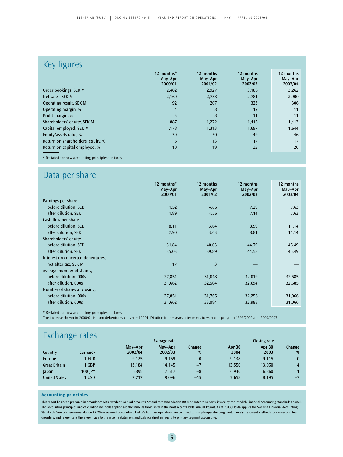## Key figures

|                                   | 12 months*<br>May-Apr<br>2000/01 | 12 months<br>May-Apr<br>2001/02 | 12 months<br>May-Apr<br>2002/03 | 12 months<br>May-Apr<br>2003/04 |
|-----------------------------------|----------------------------------|---------------------------------|---------------------------------|---------------------------------|
| Order bookings, SEK M             | 2,402                            | 2,927                           | 3,186                           | 3,262                           |
| Net sales, SEK M                  | 2,160                            | 2,738                           | 2,781                           | 2,900                           |
| Operating result, SEK M           | 92                               | 207                             | 323                             | 306                             |
| Operating margin, %               | $\overline{4}$                   | 8                               | 12                              | 11                              |
| Profit margin, %                  | 3                                | 8                               | 11                              | 11                              |
| Shareholders' equity, SEK M       | 887                              | 1,272                           | 1,445                           | 1,413                           |
| Capital employed, SEK M           | 1,178                            | 1,313                           | 1,697                           | 1,644                           |
| Equity/assets ratio, %            | 39                               | 50                              | 49                              | 46                              |
| Return on shareholders' equity, % | 5                                | 13                              | 17                              | 17                              |
| Return on capital employed, %     | 10                               | 19                              | 22                              | 20                              |

## Data per share

|                                   | 12 months*<br>May-Apr<br>2000/01 | 12 months<br>May-Apr<br>2001/02 | 12 months<br>May-Apr<br>2002/03 | 12 months<br>May-Apr<br>2003/04 |
|-----------------------------------|----------------------------------|---------------------------------|---------------------------------|---------------------------------|
| Earnings per share                |                                  |                                 |                                 |                                 |
| before dilution, SEK              | 1.52                             | 4.66                            | 7.29                            | 7.63                            |
| after dilution, SEK               | 1.89                             | 4.56                            | 7.14                            | 7,63                            |
| Cash flow per share               |                                  |                                 |                                 |                                 |
| before dilution, SEK              | 8.11                             | 3.64                            | 8.99                            | 11.14                           |
| after dilution, SEK               | 7.90                             | 3.63                            | 8.81                            | 11.14                           |
| Shareholders' equity              |                                  |                                 |                                 |                                 |
| before dilution, SEK              | 31.84                            | 40.03                           | 44.79                           | 45.49                           |
| after dilution, SEK               | 35.03                            | 39.89                           | 44.58                           | 45.49                           |
| Interest on converted debentures, |                                  |                                 |                                 |                                 |
| net after tax, SEK M              | 17                               | 3                               |                                 |                                 |
| Average number of shares,         |                                  |                                 |                                 |                                 |
| before dilution, 000s             | 27,854                           | 31,048                          | 32,019                          | 32,585                          |
| after dilution, 000s              | 31,662                           | 32,504                          | 32,694                          | 32,585                          |
| Number of shares at closing,      |                                  |                                 |                                 |                                 |
| before dilution, 000s             | 27,854                           | 31,765                          | 32,256                          | 31,066                          |
| after dilution, 000s              | 31,662                           | 33,084                          | 32,988                          | 31,066                          |

\* Restated for new accounting principles for taxes.

The increase shown in 2000/01 is from debentures converted 2001. Dilution in the years after refers to warrants program 1999/2002 and 2000/2003.

| <b>Exchange rates</b> |          |         |              |        |        |                     |              |  |
|-----------------------|----------|---------|--------------|--------|--------|---------------------|--------------|--|
|                       |          |         | Average rate |        |        | <b>Closing rate</b> |              |  |
|                       |          | May-Apr | May-Apr      | Change | Apr 30 | Apr 30              | Change       |  |
| Country               | Currency | 2003/04 | 2002/03      | %      | 2004   | 2003                | %            |  |
| Europe                | 1 EUR    | 9.125   | 9.169        |        | 9.138  | 9.115               | $\mathbf{0}$ |  |
| <b>Great Britain</b>  | 1 GBP    | 13.184  | 14.145       | $-7$   | 13.550 | 13.050              | 4            |  |
| Japan                 | 100 IPY  | 6.895   | 7.517        | $-8$   | 6.930  | 6.860               |              |  |
| <b>United States</b>  | 1 USD    | 7.717   | 9.096        | $-15$  | 7.658  | 8.195               | $-7$         |  |

#### **Accounting principles**

This report has been prepared in accordance with Sweden's Annual Accounts Act and recommendation RR20 on Interim Reports, issued by the Swedish Financial Accounting Standards Council. The accounting principles and calculation methods applied are the same as those used in the most recent Elekta Annual Report. As of 2003, Elekta applies the Swedish Financial Accounting Standards Council's recommendation RR 25 on segment accounting. Elekta's business operations are confined to a single operating segment, namely treatment methods for cancer and brain disorders, and reference is therefore made to the income statement and balance sheet in regard to primary segment accounting.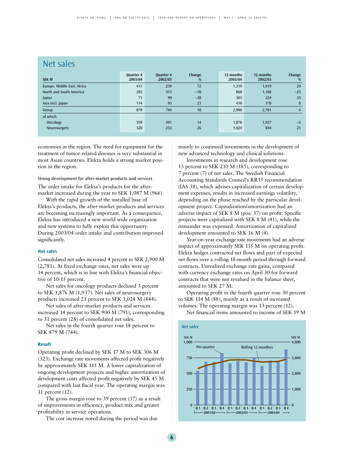### Net sales

| <b>SEK M</b>                | <b>Ouarter 4</b><br>2003/04 | <b>Ouarter 4</b><br>2002/03 | Change<br>% | 12 months<br>2003/04 | 12 months<br>2002/03 | Change<br>%    |
|-----------------------------|-----------------------------|-----------------------------|-------------|----------------------|----------------------|----------------|
| Europe, Middle East, Africa | 411                         | 239                         | 72          | 1,319                | 1,019                | 29             |
| North and South America     | 283                         | 313                         | $-10$       | 868                  | 1,160                | $-25$          |
| Japan                       | 71                          | 99                          | $-28$       | 303                  | 224                  | 35             |
| Asia excl. Japan            | 114                         | 93                          | 23          | 410                  | 378                  | 8              |
| Group                       | 879                         | 744                         | 18          | 2,900                | 2,781                | $\overline{4}$ |
| of which                    |                             |                             |             |                      |                      |                |
| Oncology                    | 559                         | 491                         | 14          | 1,876                | 1.937                | $-3$           |
| Neurosurgery                | 320                         | 253                         | 26          | 1,024                | 844                  | 21             |

economies in the region. The need for equipment for the treatment of tumor-related diseases is very substantial in most Asian countries. Elekta holds a strong market position in the region.

#### Strong development for after-market products and services

The order intake for Elekta's products for the aftermarket increased during the year to SEK 1,087 M (966).

With the rapid growth of the installed base of Elekta's products, the after-market products and services are becoming increasingly important. As a consequence, Elekta has introduced a new world wide organization and new systems to fully exploit this opportunity. During 2003/04 order intake and contribution improved significantly.

#### **Net sales**

Consolidated net sales increased 4 percent to SEK 2,900 M (2,781). At fixed exchange rates, net sales were up 14 percent, which is in line with Elekta's financial objective of 10-15 percent.

Net sales for oncology products declined 3 percent to SEK 1,876 M (1,937). Net sales of neurosurgery products increased 21 percent to SEK 1,024 M (844).

Net sales of after-market products and services increased 14 percent to SEK 900 M (791), corresponding to 31 percent (28) of consolidated net sales.

Net sales in the fourth quarter rose 18 percent to SEK 879 M (744).

#### **Result**

Operating profit declined by SEK 17 M to SEK 306 M (323). Exchange rate movements affected profit negatively by approximately SEK 115 M. A lower capitalization of ongoing development projects and higher amortization of development costs affected profit negatively by SEK 45 M compared with last fiscal year. The operating margin was 11 percent (12).

The gross margin rose to 39 percent (37) as a result of improvements in efficiency, product mix and greater profitability in service operations.

The cost increase noted during the period was due

mainly to continued investments in the development of new advanced technology and clinical solutions.

Investments in research and development rose 13 percent to SEK 210 M (185), corresponding to 7 percent (7) of net sales. The Swedish Financial Accounting Standards Council's RR15 recommendation (IAS 38), which advises capitalization of certain development expenses, results in increased earnings volatility, depending on the phase reached by the particular development project. Capitalization/amortization had an adverse impact of SEK 8 M (pos: 37) on profit. Specific projects were capitalized with SEK 8 M (41), while the remainder was expensed. Amortization of capitalized development amounted to SEK 16 M (4).

Year-on-year exchange rate movements had an adverse impact of approximately SEK 115 M on operating profit. Elekta hedges contracted net flows and part of expected net flows over a rolling 18-month period through forward contracts. Unrealized exchange rate gains, compared with currency exchange rates on April 30 for forward contracts that were not revalued in the balance sheet, amounted to SEK 27 M.

Operating profit in the fourth quarter rose 30 percent to SEK 114 M (88), mainly as a result of increased volumes. The operating margin was 13 percent (12).

Net financial items amounted to income of SEK 19 M

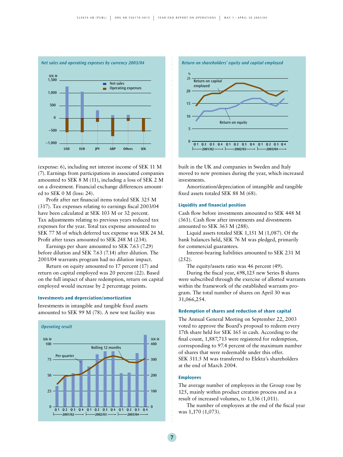

(expense: 6), including net interest income of SEK 11 M (7). Earnings from participations in associated companies amounted to SEK 8 M (11), including a loss of SEK 2 M on a divestment. Financial exchange differences amounted to SEK 0 M (loss: 24).

Profit after net financial items totaled SEK 325 M (317). Tax expenses relating to earnings fiscal 2003/04 have been calculated at SEK 103 M or 32 percent. Tax adjustments relating to previous years reduced tax expenses for the year. Total tax expense amounted to SEK 77 M of which deferred tax expense was SEK 24 M. Profit after taxes amounted to SEK 248 M (234).

Earnings per share amounted to SEK 7.63 (7.29) before dilution and SEK 7.63 (7.14) after dilution. The 2001/04 warrants program had no dilution impact.

Return on equity amounted to 17 percent (17) and return on capital employed was 20 percent (22). Based on the full impact of share redemption, return on capital employed would increase by 2 percentage points.

#### **Investments and depreciation/amortization**

Investments in intangible and tangible fixed assets amounted to SEK 99 M (78). A new test facility was





built in the UK and companies in Sweden and Italy moved to new premises during the year, which increased investments.

Amortization/depreciation of intangible and tangible fixed assets totaled SEK 88 M (68).

#### **Liquidity and financial position**

Cash flow before investments amounted to SEK 448 M (361). Cash flow after investments and divestments amounted to SEK 363 M (288).

Liquid assets totaled SEK 1,151 M (1,087). Of the bank balances held, SEK 76 M was pledged, primarily for commercial guarantees.

Interest-bearing liabilities amounted to SEK 231 M (252).

The equity/assets ratio was 46 percent (49).

During the fiscal year, 698,125 new Series B shares were subscribed through the exercise of allotted warrants within the framework of the established warrants program. The total number of shares on April 30 was 31,066,254.

#### **Redemption of shares and reduction of share capital**

The Annual General Meeting on September 22, 2003 voted to approve the Board's proposal to redeem every 17th share held for SEK 165 in cash. According to the final count, 1,887,713 were registered for redemption, corresponding to 97.4 percent of the maximum number of shares that were redeemable under this offer. SEK 311.5 M was transferred to Elekta's shareholders at the end of March 2004.

#### **Employees**

The average number of employees in the Group rose by 125, mainly within product creation process and as a result of increased volumes, to 1,136 (1,011).

The number of employees at the end of the fiscal year was 1,170 (1,073).